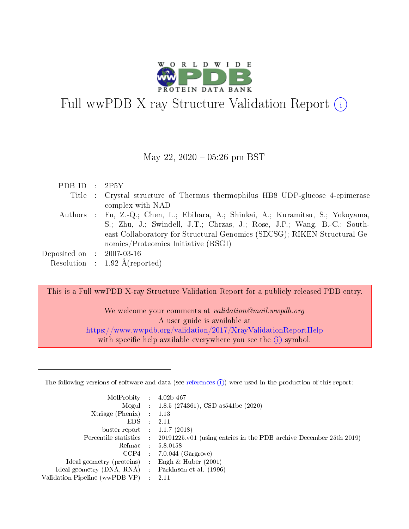

# Full wwPDB X-ray Structure Validation Report (i)

#### May 22,  $2020 - 05:26$  pm BST

| PDBID : 2P5Y                |                                                                                   |
|-----------------------------|-----------------------------------------------------------------------------------|
|                             | Title : Crystal structure of Thermus thermophilus HB8 UDP-glucose 4-epimerase     |
|                             | complex with NAD                                                                  |
|                             | Authors : Fu, Z.-Q.; Chen, L.; Ebihara, A.; Shinkai, A.; Kuramitsu, S.; Yokoyama, |
|                             | S.; Zhu, J.; Swindell, J.T.; Chrzas, J.; Rose, J.P.; Wang, B.-C.; South-          |
|                             | east Collaboratory for Structural Genomics (SECSG); RIKEN Structural Ge-          |
|                             | nomics/Proteomics Initiative (RSGI)                                               |
| Deposited on : $2007-03-16$ |                                                                                   |
|                             | Resolution : $1.92 \text{ Å}$ (reported)                                          |

This is a Full wwPDB X-ray Structure Validation Report for a publicly released PDB entry.

We welcome your comments at validation@mail.wwpdb.org A user guide is available at <https://www.wwpdb.org/validation/2017/XrayValidationReportHelp> with specific help available everywhere you see the  $(i)$  symbol.

The following versions of software and data (see [references](https://www.wwpdb.org/validation/2017/XrayValidationReportHelp#references)  $(1)$ ) were used in the production of this report:

| MolProbity :                   |               | $4.02b - 467$                                                               |
|--------------------------------|---------------|-----------------------------------------------------------------------------|
|                                |               | Mogul : $1.8.5$ (274361), CSD as 541be (2020)                               |
| $X$ triage (Phenix) :          |               | 1.13                                                                        |
| EDS.                           |               | 2.11                                                                        |
| buster-report : $1.1.7$ (2018) |               |                                                                             |
| Percentile statistics :        |               | $20191225 \text{v}01$ (using entries in the PDB archive December 25th 2019) |
| Refmac :                       |               | 5.8.0158                                                                    |
| $CCP4$ :                       |               | $7.0.044$ (Gargrove)                                                        |
| Ideal geometry (proteins) :    |               | Engh $\&$ Huber (2001)                                                      |
| Ideal geometry (DNA, RNA) :    |               | Parkinson et al. (1996)                                                     |
| Validation Pipeline (wwPDB-VP) | $\mathcal{L}$ | 2.11                                                                        |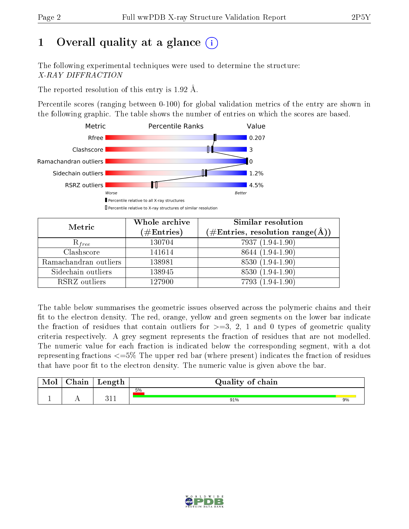# 1 [O](https://www.wwpdb.org/validation/2017/XrayValidationReportHelp#overall_quality)verall quality at a glance  $(i)$

The following experimental techniques were used to determine the structure: X-RAY DIFFRACTION

The reported resolution of this entry is 1.92 Å.

Percentile scores (ranging between 0-100) for global validation metrics of the entry are shown in the following graphic. The table shows the number of entries on which the scores are based.



| Metric                | Whole archive<br>$(\#\text{Entries})$ | Similar resolution<br>$(\#\text{Entries},\, \text{resolution}\; \text{range}(\textup{\AA}))$ |
|-----------------------|---------------------------------------|----------------------------------------------------------------------------------------------|
| $R_{free}$            | 130704                                | 7937 (1.94-1.90)                                                                             |
| Clashscore            | 141614                                | 8644 (1.94-1.90)                                                                             |
| Ramachandran outliers | 138981                                | 8530 (1.94-1.90)                                                                             |
| Sidechain outliers    | 138945                                | 8530 (1.94-1.90)                                                                             |
| RSRZ outliers         | 127900                                | 7793 (1.94-1.90)                                                                             |

The table below summarises the geometric issues observed across the polymeric chains and their fit to the electron density. The red, orange, yellow and green segments on the lower bar indicate the fraction of residues that contain outliers for  $>=3, 2, 1$  and 0 types of geometric quality criteria respectively. A grey segment represents the fraction of residues that are not modelled. The numeric value for each fraction is indicated below the corresponding segment, with a dot representing fractions  $\epsilon=5\%$  The upper red bar (where present) indicates the fraction of residues that have poor fit to the electron density. The numeric value is given above the bar.

| Mol | $\cap$ hain | Length | Quality of chain |    |
|-----|-------------|--------|------------------|----|
|     |             |        | 5%               |    |
| л.  | . .         | า 1    | 91%              | 9% |

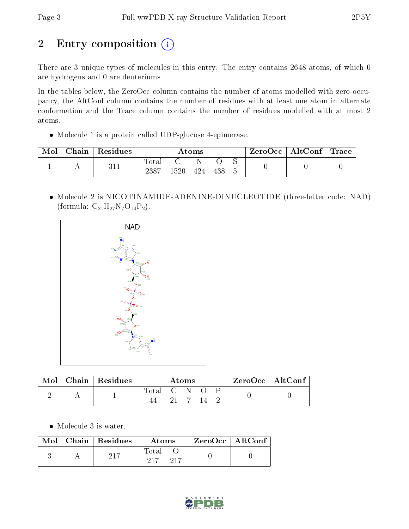# 2 Entry composition (i)

There are 3 unique types of molecules in this entry. The entry contains 2648 atoms, of which 0 are hydrogens and 0 are deuteriums.

In the tables below, the ZeroOcc column contains the number of atoms modelled with zero occupancy, the AltConf column contains the number of residues with at least one atom in alternate conformation and the Trace column contains the number of residues modelled with at most 2 atoms.

Molecule 1 is a protein called UDP-glucose 4-epimerase.

| Mol | Chain | Residues | $\rm{Atoms}$  |      |     |     | $\text{ZeroOcc} \mid \text{AltConf} \mid \text{Trace}$ |  |  |
|-----|-------|----------|---------------|------|-----|-----|--------------------------------------------------------|--|--|
|     |       | 311      | Total<br>2387 | .520 | 424 | 438 |                                                        |  |  |

 Molecule 2 is NICOTINAMIDE-ADENINE-DINUCLEOTIDE (three-letter code: NAD) (formula:  $C_{21}H_{27}N_7O_{14}P_2$ ).



| Mol | Chain   $\overline{\text{Residues}}$ | Atoms       |  |  | $ZeroOcc \   \ AltConf \  $ |  |  |  |
|-----|--------------------------------------|-------------|--|--|-----------------------------|--|--|--|
|     |                                      | Total C N O |  |  |                             |  |  |  |

Molecule 3 is water.

| Mol | Chain   Residues | Atoms                  | ZeroOcc   AltConf |  |
|-----|------------------|------------------------|-------------------|--|
|     |                  | Total<br>917<br>$-217$ |                   |  |

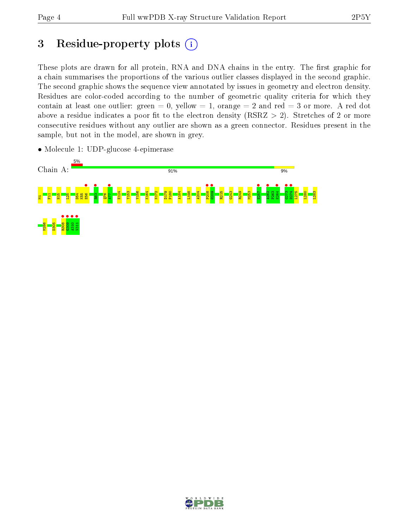## 3 Residue-property plots  $(i)$

These plots are drawn for all protein, RNA and DNA chains in the entry. The first graphic for a chain summarises the proportions of the various outlier classes displayed in the second graphic. The second graphic shows the sequence view annotated by issues in geometry and electron density. Residues are color-coded according to the number of geometric quality criteria for which they contain at least one outlier: green  $= 0$ , yellow  $= 1$ , orange  $= 2$  and red  $= 3$  or more. A red dot above a residue indicates a poor fit to the electron density (RSRZ  $> 2$ ). Stretches of 2 or more consecutive residues without any outlier are shown as a green connector. Residues present in the sample, but not in the model, are shown in grey.



• Molecule 1: UDP-glucose 4-epimerase

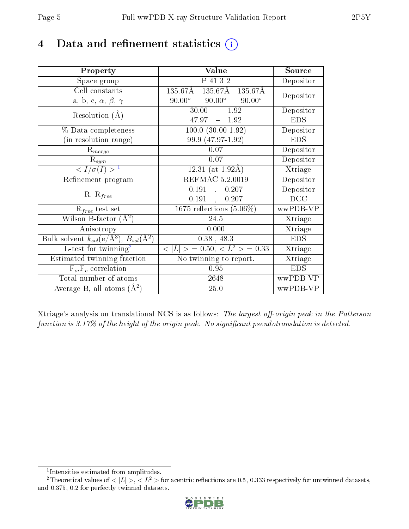# 4 Data and refinement statistics  $(i)$

| Property                                                             | Value                                           | Source     |
|----------------------------------------------------------------------|-------------------------------------------------|------------|
| Space group                                                          | P 41 3 2                                        | Depositor  |
| Cell constants                                                       | $135.67\text{\AA}$<br>135.67Å 135.67Å           | Depositor  |
| a, b, c, $\alpha$ , $\beta$ , $\gamma$                               | $90.00^\circ$<br>$90.00^\circ$<br>$90.00^\circ$ |            |
| Resolution $(A)$                                                     | $30.00 - 1.92$                                  | Depositor  |
|                                                                      | $47.97 - 1.92$                                  | <b>EDS</b> |
| % Data completeness                                                  | $100.0 (30.00 - 1.92)$                          | Depositor  |
| (in resolution range)                                                | 99.9 (47.97-1.92)                               | <b>EDS</b> |
| $R_{merge}$                                                          | $0.07\,$                                        | Depositor  |
| $\mathbf{R}_{sym}$                                                   | 0.07                                            | Depositor  |
| $\sqrt{I/\sigma}(I) > 1$                                             | 12.31 (at $1.92\text{\AA}$ )                    | Xtriage    |
| Refinement program                                                   | REFMAC 5.2.0019                                 | Depositor  |
| $R, R_{free}$                                                        | 0.191<br>0.207                                  | Depositor  |
|                                                                      | 0.191<br>0.207                                  | DCC        |
| $R_{free}$ test set                                                  | $1675$ reflections $(5.06\%)$                   | wwPDB-VP   |
| Wilson B-factor $(A^2)$                                              | 24.5                                            | Xtriage    |
| Anisotropy                                                           | 0.000                                           | Xtriage    |
| Bulk solvent $k_{sol}(e/\mathring{A}^3)$ , $B_{sol}(\mathring{A}^2)$ | $0.38$ , 48.3                                   | <b>EDS</b> |
| L-test for twinning <sup>2</sup>                                     | $< L >$ = 0.50, $< L2$ > = 0.33                 | Xtriage    |
| Estimated twinning fraction                                          | No twinning to report.                          | Xtriage    |
| $F_o, F_c$ correlation                                               | 0.95                                            | <b>EDS</b> |
| Total number of atoms                                                | 2648                                            | wwPDB-VP   |
| Average B, all atoms $(A^2)$                                         | 25.0                                            | wwPDB-VP   |

Xtriage's analysis on translational NCS is as follows: The largest off-origin peak in the Patterson function is  $3.17\%$  of the height of the origin peak. No significant pseudotranslation is detected.

<sup>&</sup>lt;sup>2</sup>Theoretical values of  $\langle |L| \rangle$ ,  $\langle L^2 \rangle$  for acentric reflections are 0.5, 0.333 respectively for untwinned datasets, and 0.375, 0.2 for perfectly twinned datasets.



<span id="page-4-1"></span><span id="page-4-0"></span><sup>1</sup> Intensities estimated from amplitudes.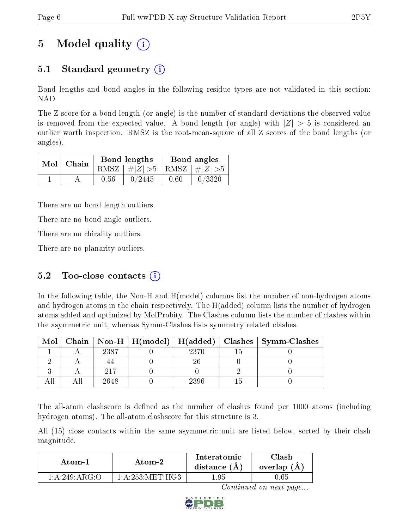# 5 Model quality  $(i)$

## 5.1 Standard geometry  $\overline{()}$

Bond lengths and bond angles in the following residue types are not validated in this section: NAD

The Z score for a bond length (or angle) is the number of standard deviations the observed value is removed from the expected value. A bond length (or angle) with  $|Z| > 5$  is considered an outlier worth inspection. RMSZ is the root-mean-square of all Z scores of the bond lengths (or angles).

| $Mol$   Chain |      | Bond lengths                    | Bond angles |        |  |
|---------------|------|---------------------------------|-------------|--------|--|
|               |      | RMSZ $ #Z  > 5$ RMSZ $ #Z  > 5$ |             |        |  |
|               | 0.56 | 0/2445                          | 0.60        | 0/3320 |  |

There are no bond length outliers.

There are no bond angle outliers.

There are no chirality outliers.

There are no planarity outliers.

### 5.2 Too-close contacts  $(i)$

In the following table, the Non-H and H(model) columns list the number of non-hydrogen atoms and hydrogen atoms in the chain respectively. The H(added) column lists the number of hydrogen atoms added and optimized by MolProbity. The Clashes column lists the number of clashes within the asymmetric unit, whereas Symm-Clashes lists symmetry related clashes.

| Mol |      |      | Chain   Non-H   H(model)   H(added)   Clashes   Symm-Clashes |
|-----|------|------|--------------------------------------------------------------|
|     | 2387 | 2370 |                                                              |
|     |      |      |                                                              |
|     | 217  |      |                                                              |
|     | 2648 | 2396 |                                                              |

The all-atom clashscore is defined as the number of clashes found per 1000 atoms (including hydrogen atoms). The all-atom clashscore for this structure is 3.

All (15) close contacts within the same asymmetric unit are listed below, sorted by their clash magnitude.

| Atom-1            | Atom-2                      | Interatomic<br>distance $(A)$ | Clash<br>overlap (A |
|-------------------|-----------------------------|-------------------------------|---------------------|
| 1: A:249: A R G O | $1 \cdot A$ 253 MET H $G$ 3 | -95                           | J.65                |

Continued on next page...

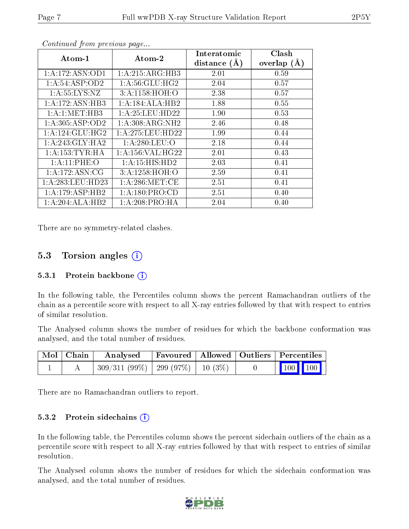| $\boldsymbol{\mathrm{Atom}\text{-}1}$ | Atom-2               | Interatomic<br>distance $(A)$ | Clash<br>overlap $(A)$ |
|---------------------------------------|----------------------|-------------------------------|------------------------|
|                                       |                      |                               |                        |
| 1: A: 172: ASN: OD1                   | 1:A:215:ARG:HB3      | 2.01                          | 0.59                   |
| 1: A:54:ASP:OD2                       | 1: A:56: GLU: HG2    | 2.04                          | 0.57                   |
| 1: A: 55: LYS: NZ                     | 3: A:1158:HOH:O      | 2.38                          | 0.57                   |
| 1:A:172:ASN:HB3                       | 1:A:184:ALA:HB2      | 1.88                          | 0.55                   |
| 1: A: 1: MET: HB3                     | 1:A:25:LEU:HD22      | 1.90                          | 0.53                   |
| 1: A:305: ASP:OD2                     | 1: A:308: ARG: NH2   | 2.46                          | 0.48                   |
| 1:A:124:GLU:HG2                       | 1: A:275:LEU:HD22    | 1.99                          | 0.44                   |
| 1: A:243: GLY:HA2                     | 1: A:280:LEU:O       | 2.18                          | 0.44                   |
| 1: A: 153: TYR: HA                    | 1: A: 156: VAL: HG22 | 2.01                          | 0.43                   |
| 1:A:11:PHE:O                          | 1: A:15: HIS: HD2    | 2.03                          | 0.41                   |
| 1:A:172:ASN:CG                        | 3:A:1258:HOH:O       | 2.59                          | 0.41                   |
| 1:A:283:LEU:HD23                      | 1: A:286: MET:CE     | 2.51                          | 0.41                   |
| 1:A:179:ASP:HB2                       | 1:A:180:PRO:CD       | 2.51                          | 0.40                   |
| 1:A:204:ALA:HB2                       | 1: A:208:PRO:HA      | 2.04                          | 0.40                   |

Continued from previous page...

There are no symmetry-related clashes.

### 5.3 Torsion angles (i)

#### 5.3.1 Protein backbone  $(i)$

In the following table, the Percentiles column shows the percent Ramachandran outliers of the chain as a percentile score with respect to all X-ray entries followed by that with respect to entries of similar resolution.

The Analysed column shows the number of residues for which the backbone conformation was analysed, and the total number of residues.

| Mol   Chain | Analysed Favoured   Allowed   Outliers   Percentiles |  |                                                              |  |
|-------------|------------------------------------------------------|--|--------------------------------------------------------------|--|
|             | $309/311 (99\%)$   299 (97\%)   10 (3\%)             |  | $\begin{array}{ c c c c c }\n\hline\n100 & 100\n\end{array}$ |  |

There are no Ramachandran outliers to report.

#### 5.3.2 Protein sidechains  $(i)$

In the following table, the Percentiles column shows the percent sidechain outliers of the chain as a percentile score with respect to all X-ray entries followed by that with respect to entries of similar resolution.

The Analysed column shows the number of residues for which the sidechain conformation was analysed, and the total number of residues.

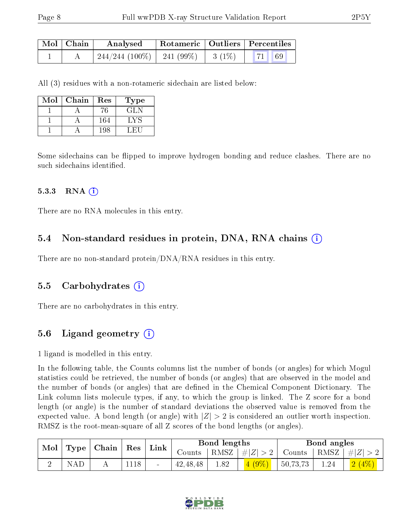| Mol   Chain | Analysed                               |  | $\mid$ Rotameric $\mid$ Outliers $\mid$ Percentiles |  |  |
|-------------|----------------------------------------|--|-----------------------------------------------------|--|--|
|             | $\mid$ 244/244 (100%) $\mid$ 241 (99%) |  | $3(1\%)$ 71 69                                      |  |  |

All (3) residues with a non-rotameric sidechain are listed below:

| Mol | Chain | Res | Type                           |
|-----|-------|-----|--------------------------------|
|     |       | 76  | GLN                            |
|     |       | 164 | $\mathbf{L} \times \mathbf{S}$ |
|     |       | 198 |                                |

Some sidechains can be flipped to improve hydrogen bonding and reduce clashes. There are no such sidechains identified.

#### $5.3.3$  RNA  $(i)$

There are no RNA molecules in this entry.

#### 5.4 Non-standard residues in protein, DNA, RNA chains (i)

There are no non-standard protein/DNA/RNA residues in this entry.

#### 5.5 Carbohydrates (i)

There are no carbohydrates in this entry.

### 5.6 Ligand geometry  $(i)$

1 ligand is modelled in this entry.

In the following table, the Counts columns list the number of bonds (or angles) for which Mogul statistics could be retrieved, the number of bonds (or angles) that are observed in the model and the number of bonds (or angles) that are dened in the Chemical Component Dictionary. The Link column lists molecule types, if any, to which the group is linked. The Z score for a bond length (or angle) is the number of standard deviations the observed value is removed from the expected value. A bond length (or angle) with  $|Z| > 2$  is considered an outlier worth inspection. RMSZ is the root-mean-square of all Z scores of the bond lengths (or angles).

| $\bf{Mol}$ |     | Type   Chain | $^+$ Res | Link                     | Bond lengths |      |                      | Bond angles   |      |         |
|------------|-----|--------------|----------|--------------------------|--------------|------|----------------------|---------------|------|---------|
|            |     |              |          |                          | Counts       |      | $ RMSZ $ # $ Z  > 2$ | Counts   RMSZ |      | #Z  > 2 |
|            | NAD |              | 1118     | $\overline{\phantom{0}}$ | 42, 48, 48   | 1.82 |                      | 50,73,73      | 1.24 |         |

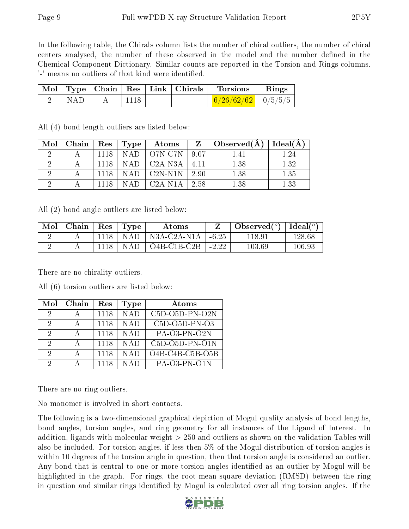In the following table, the Chirals column lists the number of chiral outliers, the number of chiral centers analysed, the number of these observed in the model and the number defined in the Chemical Component Dictionary. Similar counts are reported in the Torsion and Rings columns. '-' means no outliers of that kind were identified.

|             |      |  | Mol   Type   Chain   Res   Link   Chirals   Torsions | $\parallel$ Rings |
|-------------|------|--|------------------------------------------------------|-------------------|
| $\vert$ NAD | 1118 |  | $\frac{6}{26/62/62}$ $\frac{0}{5/5/5}$               |                   |

| Mol | $\mid$ Chain $\mid$ |      | $\text{Res}$   $\text{Type}$ | Atoms                   | Z       | $\Delta$ Observed( $\Lambda$ ) | Ideal $(A)$ |
|-----|---------------------|------|------------------------------|-------------------------|---------|--------------------------------|-------------|
|     |                     | 1118 |                              | $NAD$   O7N-C7N         | 9.07    | 1.41                           | 24          |
|     |                     | 1118 | NAD.                         | $\vert$ C2A-N3A $\vert$ | $-4.11$ | 1.38                           | 1.32        |
|     |                     | 1118 | N A D                        | $\sim$ C2N-N1N $\sim$   | -2.90   | 1.38                           | 1.35        |
|     |                     | 1118 | N A D                        | C2A-N1A                 | 2.58    | 1.38                           | 1.33        |

All (4) bond length outliers are listed below:

All (2) bond angle outliers are listed below:

| $\bf{Mol}$ | Chain   Res |         | Type       | Atoms                      |         | $\Box$ Observed $(^\circ)$   Ideal $(^\circ)$ |        |
|------------|-------------|---------|------------|----------------------------|---------|-----------------------------------------------|--------|
|            |             | -1118 - | <b>NAD</b> | <sup>†</sup> N3A-C2A-N1A † | $-6.25$ | 118.91                                        | 128.68 |
|            |             | 1118    | <b>NAD</b> | $^{\circ}$ O4B-C1B-C2B     | $-2.22$ | 103.69                                        | 106.93 |

There are no chirality outliers.

| Mol | Chain        | Res  | Type       | Atoms            |
|-----|--------------|------|------------|------------------|
| 2   |              | 1118 | <b>NAD</b> | $C5D-O5D-PN-O2N$ |
| 2   |              | 1118 | N A D      | $C5D-O5D-PN-O3$  |
| 2   |              | 1118 | <b>NAD</b> | $PA-O3-PN-O2N$   |
| 2   | $\mathsf{A}$ | 1118 | <b>NAD</b> | $C5D-O5D-PN-O1N$ |
| 2   |              | 1118 | <b>NAD</b> | O4B-C4B-C5B-O5B  |
| 9   |              | 1118 | <b>NAD</b> | $PA-O3-PN-O1N$   |

All (6) torsion outliers are listed below:

There are no ring outliers.

No monomer is involved in short contacts.

The following is a two-dimensional graphical depiction of Mogul quality analysis of bond lengths, bond angles, torsion angles, and ring geometry for all instances of the Ligand of Interest. In addition, ligands with molecular weight > 250 and outliers as shown on the validation Tables will also be included. For torsion angles, if less then 5% of the Mogul distribution of torsion angles is within 10 degrees of the torsion angle in question, then that torsion angle is considered an outlier. Any bond that is central to one or more torsion angles identified as an outlier by Mogul will be highlighted in the graph. For rings, the root-mean-square deviation (RMSD) between the ring in question and similar rings identified by Mogul is calculated over all ring torsion angles. If the

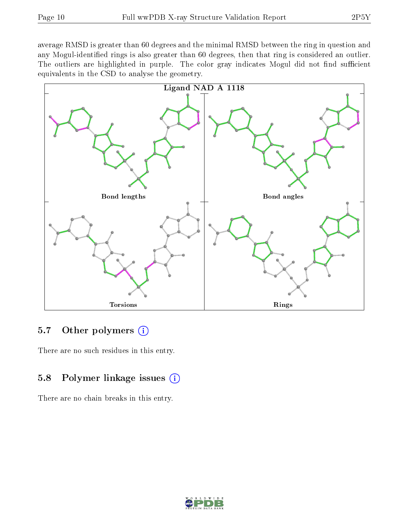average RMSD is greater than 60 degrees and the minimal RMSD between the ring in question and any Mogul-identified rings is also greater than 60 degrees, then that ring is considered an outlier. The outliers are highlighted in purple. The color gray indicates Mogul did not find sufficient equivalents in the CSD to analyse the geometry.



### 5.7 [O](https://www.wwpdb.org/validation/2017/XrayValidationReportHelp#nonstandard_residues_and_ligands)ther polymers (i)

There are no such residues in this entry.

## 5.8 Polymer linkage issues  $(i)$

There are no chain breaks in this entry.

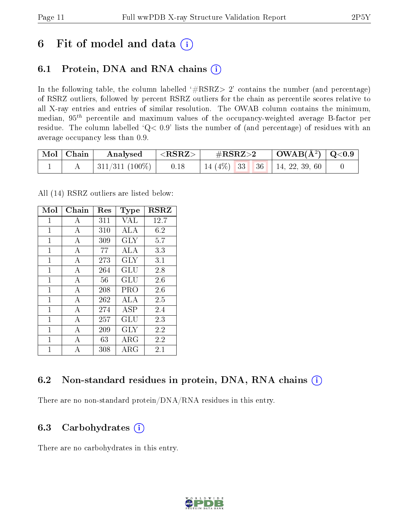## 6 Fit of model and data  $(i)$

## 6.1 Protein, DNA and RNA chains  $(i)$

In the following table, the column labelled  $#RSRZ> 2'$  contains the number (and percentage) of RSRZ outliers, followed by percent RSRZ outliers for the chain as percentile scores relative to all X-ray entries and entries of similar resolution. The OWAB column contains the minimum, median,  $95<sup>th</sup>$  percentile and maximum values of the occupancy-weighted average B-factor per residue. The column labelled ' $Q< 0.9$ ' lists the number of (and percentage) of residues with an average occupancy less than 0.9.

| $\mid$ Mol $\mid$ Chain $\mid$ | $\mathbf{Analysed} \quad   \langle \mathbf{RSRZ} \rangle  $    | $\rm \#RSRZ{>}2$ |  | $\vert$ OWAB(Å <sup>2</sup> ) $\vert$ Q<0.9 $\vert$ |  |  |
|--------------------------------|----------------------------------------------------------------|------------------|--|-----------------------------------------------------|--|--|
|                                | $311/311$ (100\%)   0.18   14 (4\%)   33   36   14, 22, 39, 60 |                  |  |                                                     |  |  |

All (14) RSRZ outliers are listed below:

| Mol          | Chain          | Res | Type                 | <b>RSRZ</b> |
|--------------|----------------|-----|----------------------|-------------|
| $\mathbf{1}$ | А              | 311 | <b>VAL</b>           | 12.7        |
| $\mathbf{1}$ | А              | 310 | ALA                  | 6.2         |
| $\mathbf{1}$ | A              | 309 | <b>GLY</b>           | 5.7         |
| 1            | А              | 77  | ALA                  | 3.3         |
| 1            | A              | 273 | GLY                  | 3.1         |
| 1            | $\overline{A}$ | 264 | $\operatorname{GLU}$ | 2.8         |
| 1            | $\mathbf{A}$   | 56  | GLU                  | 2.6         |
| $\mathbf{1}$ | $\mathbf{A}$   | 208 | <b>PRO</b>           | 2.6         |
| 1            | А              | 262 | ALA                  | 2.5         |
| $\mathbf{1}$ | $\mathbf{A}$   | 274 | <b>ASP</b>           | 2.4         |
| $\mathbf{1}$ | А              | 257 | GLU                  | 2.3         |
| $\mathbf{1}$ | $\overline{A}$ | 209 | <b>GLY</b>           | 2.2         |
| 1            | А              | 63  | ${\rm ARG}$          | 2.2         |
| 1            | А              | 308 | ARG                  | 2.1         |

## 6.2 Non-standard residues in protein, DNA, RNA chains (i)

There are no non-standard protein/DNA/RNA residues in this entry.

### 6.3 Carbohydrates (i)

There are no carbohydrates in this entry.